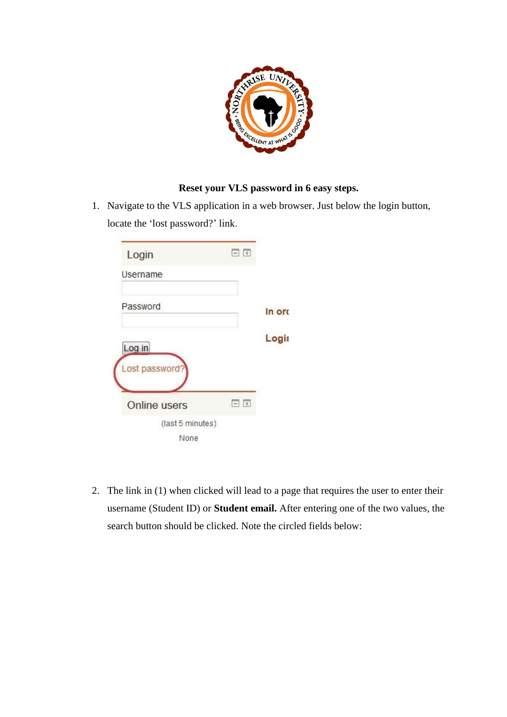

## **Reset your VLS password in 6 easy steps.**

1. Navigate to the VLS application in a web browser. Just below the login button, locate the 'lost password?' link.

| Login            | $\Box$      |        |
|------------------|-------------|--------|
| Username         |             |        |
| Password         |             | In ord |
| Log in           |             | Login  |
| Lost password?   |             |        |
| Online users     | $ \epsilon$ |        |
| (last 5 minutes) |             |        |
| None             |             |        |

2. The link in (1) when clicked will lead to a page that requires the user to enter their username (Student ID) or **Student email.** After entering one of the two values, the search button should be clicked. Note the circled fields below: